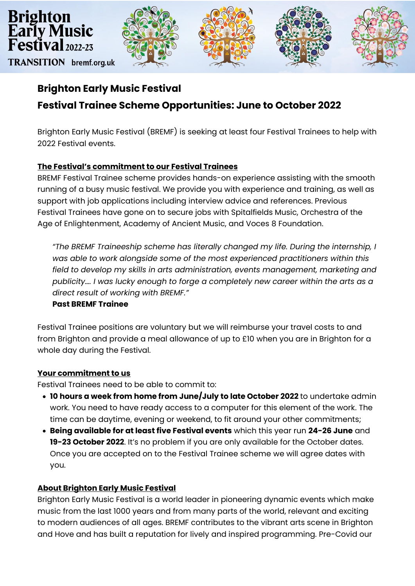

# **Brighton Early Music Festival Festival Trainee Scheme Opportunities: June to October 2022**

Brighton Early Music Festival (BREMF) is seeking at least four Festival Trainees to help with 2022 Festival events.

# **The Festival's commitment to our Festival Trainees**

BREMF Festival Trainee scheme provides hands-on experience assisting with the smooth running of a busy music festival. We provide you with experience and training, as well as support with job applications including interview advice and references. Previous Festival Trainees have gone on to secure jobs with Spitalfields Music, Orchestra of the Age of Enlightenment, Academy of Ancient Music, and Voces 8 Foundation.

*"The BREMF Traineeship scheme has literally changed my life. During the internship, I was able to work alongside some of the most experienced practitioners within this field to develop my skills in arts administration, events management, marketing and publicity…. I was lucky enough to forge a completely new career within the arts as a direct result of working with BREMF."*

## **Past BREMF Trainee**

Festival Trainee positions are voluntary but we will reimburse your travel costs to and from Brighton and provide a meal allowance of up to £10 when you are in Brighton for a whole day during the Festival.

## **Your commitment to us**

Festival Trainees need to be able to commit to:

- **10 hours a week from home from June/July to late October 2022** to undertake admin work. You need to have ready access to a computer for this element of the work. The time can be daytime, evening or weekend, to fit around your other commitments;
- **Being available for at least five Festival events** which this year run **24-26 June** and **19-23 October 2022**. It's no problem if you are only available for the October dates. Once you are accepted on to the Festival Trainee scheme we will agree dates with you.

## **About Brighton Early Music Festival**

Brighton Early Music Festival is a world leader in pioneering dynamic events which make music from the last 1000 years and from many parts of the world, relevant and exciting to modern audiences of all ages. BREMF contributes to the vibrant arts scene in Brighton and Hove and has built a reputation for lively and inspired programming. Pre-Covid our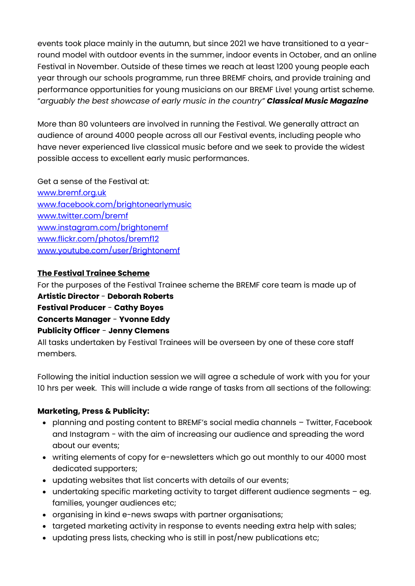events took place mainly in the autumn, but since 2021 we have transitioned to a yearround model with outdoor events in the summer, indoor events in October, and an online Festival in November. Outside of these times we reach at least 1200 young people each year through our schools programme, run three BREMF choirs, and provide training and performance opportunities for young musicians on our BREMF Live! young artist scheme. "*arguably the best showcase of early music in the country" Classical Music Magazine*

More than 80 volunteers are involved in running the Festival. We generally attract an audience of around 4000 people across all our Festival events, including people who have never experienced live classical music before and we seek to provide the widest possible access to excellent early music performances.

Get a sense of the Festival at: [www.bremf.org.uk](http://www.bremf.org.uk/)  [www.facebook.com/brightonearlymusic](http://www.facebook.com/brightonearlymusic) [www.twitter.com/bremf](http://www.twitter.com/bremf) [www.instagram.com/brightonemf](http://www.instagram.com/brightonemf/) [www.flickr.com/photos/bremf12](http://www.flickr.com/photos/bremf12) [www.youtube.com/user/Brightonemf](http://www.youtube.com/user/Brightonemf)

## **The Festival Trainee Scheme**

For the purposes of the Festival Trainee scheme the BREMF core team is made up of **Artistic Director** - **Deborah Roberts Festival Producer** - **Cathy Boyes Concerts Manager** - **Yvonne Eddy Publicity Officer** - **Jenny Clemens**

All tasks undertaken by Festival Trainees will be overseen by one of these core staff members.

Following the initial induction session we will agree a schedule of work with you for your 10 hrs per week. This will include a wide range of tasks from all sections of the following:

## **Marketing, Press & Publicity:**

- planning and posting content to BREMF's social media channels Twitter, Facebook and Instagram - with the aim of increasing our audience and spreading the word about our events;
- writing elements of copy for e-newsletters which go out monthly to our 4000 most dedicated supporters;
- updating websites that list concerts with details of our events;
- undertaking specific marketing activity to target different audience segments eg. families, younger audiences etc;
- organising in kind e-news swaps with partner organisations;
- targeted marketing activity in response to events needing extra help with sales;
- updating press lists, checking who is still in post/new publications etc;